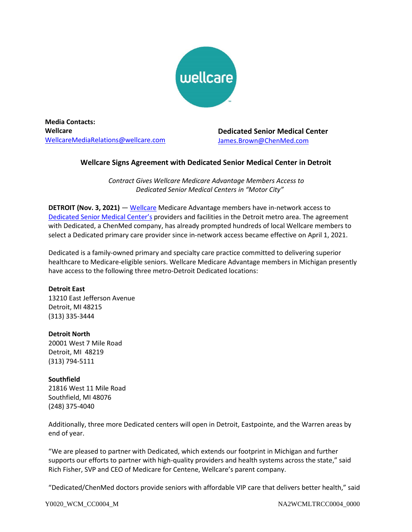

**Media Contacts: Wellcare** [WellcareMediaRelations@wellcare.com](mailto:WellcareMediaRelations@wellcare.com)

**Dedicated Senior Medical Center** James.Brown@ChenMed.com

## **Wellcare Signs Agreement with Dedicated Senior Medical Center in Detroit**

*Contract Gives Wellcare Medicare Advantage Members Access to Dedicated Senior Medical Centers in "Motor City"*

**DETROIT (Nov. 3, 2021)** — [Wellcare](http://www.wellcare.com/) Medicare Advantage members have in-network access to [Dedicated Senior Medical Center](https://www.dedicated.care/)'s providers and facilities in the Detroit metro area. The agreement with Dedicated, a ChenMed company, has already prompted hundreds of local Wellcare members to select a Dedicated primary care provider since in-network access became effective on April 1, 2021.

Dedicated is a family-owned primary and specialty care practice committed to delivering superior healthcare to Medicare-eligible seniors. Wellcare Medicare Advantage members in Michigan presently have access to the following three metro-Detroit Dedicated locations:

## **Detroit East**

13210 East Jefferson Avenue Detroit, MI 48215 (313) 335-3444

**Detroit North** 20001 West 7 Mile Road Detroit, MI 48219

(313) 794-5111

**Southfield** 21816 West 11 Mile Road Southfield, MI 48076 (248) 375-4040

Additionally, three more Dedicated centers will open in Detroit, Eastpointe, and the Warren areas by end of year.

"We are pleased to partner with Dedicated, which extends our footprint in Michigan and further supports our efforts to partner with high-quality providers and health systems across the state," said Rich Fisher, SVP and CEO of Medicare for Centene, Wellcare's parent company.

"Dedicated/ChenMed doctors provide seniors with affordable VIP care that delivers better health," said